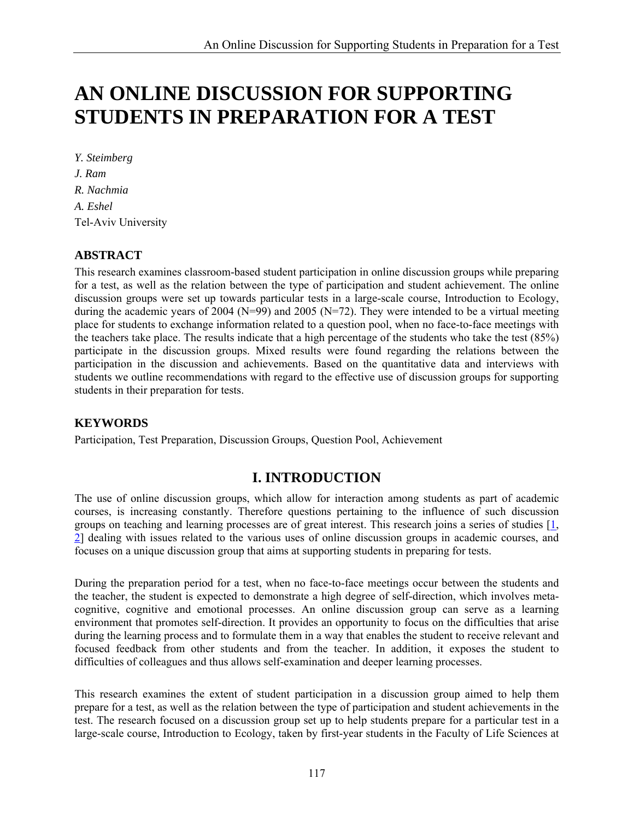# **AN ONLINE DISCUSSION FOR SUPPORTING STUDENTS IN PREPARATION FOR A TEST**

*Y. Steimberg J. Ram R. Nachmia A. Eshel*  Tel-Aviv University

#### **ABSTRACT**

This research examines classroom-based student participation in online discussion groups while preparing for a test, as well as the relation between the type of participation and student achievement. The online discussion groups were set up towards particular tests in a large-scale course, Introduction to Ecology, during the academic years of 2004 ( $N=99$ ) and 2005 ( $N=72$ ). They were intended to be a virtual meeting place for students to exchange information related to a question pool, when no face-to-face meetings with the teachers take place. The results indicate that a high percentage of the students who take the test (85%) participate in the discussion groups. Mixed results were found regarding the relations between the participation in the discussion and achievements. Based on the quantitative data and interviews with students we outline recommendations with regard to the effective use of discussion groups for supporting students in their preparation for tests.

#### **KEYWORDS**

Participation, Test Preparation, Discussion Groups, Question Pool, Achievement

# **I. INTRODUCTION**

The use of online discussion groups, which allow for interaction among students as part of academic courses, is increasing constantly. Therefore questions pertaining to the influence of such discussion groups on teaching and learning processes are of great interest. This research joins a series of studies [1, 2] dealing with issues related to the various uses of online discussion groups in academic courses, and focuses on a unique discussion group that aims at supporting students in preparing for tests.

During the preparation period for a test, when no face-to-face meetings occur between the students and the teacher, the student is expected to demonstrate a high degree of self-direction, which involves metacognitive, cognitive and emotional processes. An online discussion group can serve as a learning environment that promotes self-direction. It provides an opportunity to focus on the difficulties that arise during the learning process and to formulate them in a way that enables the student to receive relevant and focused feedback from other students and from the teacher. In addition, it exposes the student to difficulties of colleagues and thus allows self-examination and deeper learning processes.

This research examines the extent of student participation in a discussion group aimed to help them prepare for a test, as well as the relation between the type of participation and student achievements in the test. The research focused on a discussion group set up to help students prepare for a particular test in a large-scale course, Introduction to Ecology, taken by first-year students in the Faculty of Life Sciences at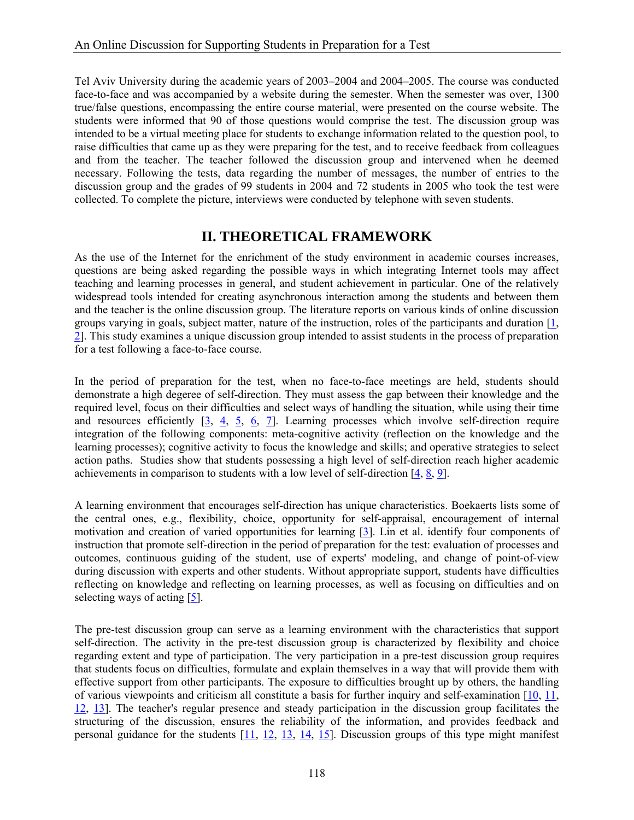Tel Aviv University during the academic years of 2003–2004 and 2004–2005. The course was conducted face-to-face and was accompanied by a website during the semester. When the semester was over, 1300 true/false questions, encompassing the entire course material, were presented on the course website. The students were informed that 90 of those questions would comprise the test. The discussion group was intended to be a virtual meeting place for students to exchange information related to the question pool, to raise difficulties that came up as they were preparing for the test, and to receive feedback from colleagues and from the teacher. The teacher followed the discussion group and intervened when he deemed necessary. Following the tests, data regarding the number of messages, the number of entries to the discussion group and the grades of 99 students in 2004 and 72 students in 2005 who took the test were collected. To complete the picture, interviews were conducted by telephone with seven students.

#### **II. THEORETICAL FRAMEWORK**

As the use of the Internet for the enrichment of the study environment in academic courses increases, questions are being asked regarding the possible ways in which integrating Internet tools may affect teaching and learning processes in general, and student achievement in particular. One of the relatively widespread tools intended for creating asynchronous interaction among the students and between them and the teacher is the online discussion group. The literature reports on various kinds of online discussion groups varying in goals, subject matter, nature of the instruction, roles of the participants and duration [1, 2]. This study examines a unique discussion group intended to assist students in the process of preparation for a test following a face-to-face course.

In the period of preparation for the test, when no face-to-face meetings are held, students should demonstrate a high degeree of self-direction. They must assess the gap between their knowledge and the required level, focus on their difficulties and select ways of handling the situation, while using their time and resources efficiently  $[3, 4, 5, 6, 7]$ . Learning processes which involve self-direction require integration of the following components: meta-cognitive activity (reflection on the knowledge and the learning processes); cognitive activity to focus the knowledge and skills; and operative strategies to select action paths. Studies show that students possessing a high level of self-direction reach higher academic achievements in comparison to students with a low level of self-direction [4, 8, 9].

A learning environment that encourages self-direction has unique characteristics. Boekaerts lists some of the central ones, e.g., flexibility, choice, opportunity for self-appraisal, encouragement of internal motivation and creation of varied opportunities for learning [3]. Lin et al. identify four components of instruction that promote self-direction in the period of preparation for the test: evaluation of processes and outcomes, continuous guiding of the student, use of experts' modeling, and change of point-of-view during discussion with experts and other students. Without appropriate support, students have difficulties reflecting on knowledge and reflecting on learning processes, as well as focusing on difficulties and on selecting ways of acting  $[5]$ .

The pre-test discussion group can serve as a learning environment with the characteristics that support self-direction. The activity in the pre-test discussion group is characterized by flexibility and choice regarding extent and type of participation. The very participation in a pre-test discussion group requires that students focus on difficulties, formulate and explain themselves in a way that will provide them with effective support from other participants. The exposure to difficulties brought up by others, the handling of various viewpoints and criticism all constitute a basis for further inquiry and self-examination  $[10, 11]$ , 12, 13]. The teacher's regular presence and steady participation in the discussion group facilitates the structuring of the discussion, ensures the reliability of the information, and provides feedback and personal guidance for the students [11, 12, 13, 14, 15]. Discussion groups of this type might manifest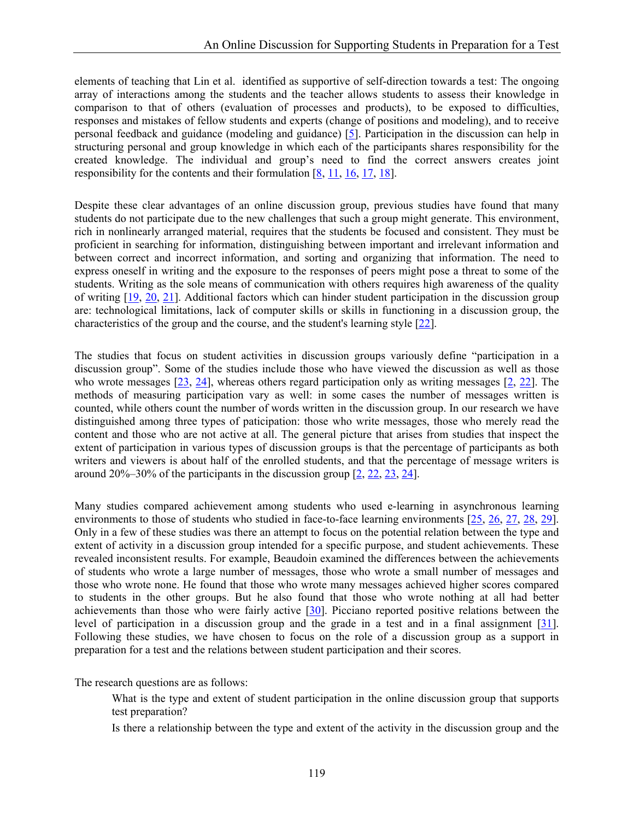elements of teaching that Lin et al. identified as supportive of self-direction towards a test: The ongoing array of interactions among the students and the teacher allows students to assess their knowledge in comparison to that of others (evaluation of processes and products), to be exposed to difficulties, responses and mistakes of fellow students and experts (change of positions and modeling), and to receive personal feedback and guidance (modeling and guidance) [5]. Participation in the discussion can help in structuring personal and group knowledge in which each of the participants shares responsibility for the created knowledge. The individual and group's need to find the correct answers creates joint responsibility for the contents and their formulation [8, 11, 16, 17, 18].

Despite these clear advantages of an online discussion group, previous studies have found that many students do not participate due to the new challenges that such a group might generate. This environment, rich in nonlinearly arranged material, requires that the students be focused and consistent. They must be proficient in searching for information, distinguishing between important and irrelevant information and between correct and incorrect information, and sorting and organizing that information. The need to express oneself in writing and the exposure to the responses of peers might pose a threat to some of the students. Writing as the sole means of communication with others requires high awareness of the quality of writing [19, 20, 21]. Additional factors which can hinder student participation in the discussion group are: technological limitations, lack of computer skills or skills in functioning in a discussion group, the characteristics of the group and the course, and the student's learning style [22].

The studies that focus on student activities in discussion groups variously define "participation in a discussion group". Some of the studies include those who have viewed the discussion as well as those who wrote messages [23, 24], whereas others regard participation only as writing messages [2, 22]. The methods of measuring participation vary as well: in some cases the number of messages written is counted, while others count the number of words written in the discussion group. In our research we have distinguished among three types of paticipation: those who write messages, those who merely read the content and those who are not active at all. The general picture that arises from studies that inspect the extent of participation in various types of discussion groups is that the percentage of participants as both writers and viewers is about half of the enrolled students, and that the percentage of message writers is around 20%–30% of the participants in the discussion group [2, 22, 23, 24].

Many studies compared achievement among students who used e-learning in asynchronous learning environments to those of students who studied in face-to-face learning environments [25, 26, 27, 28, 29]. Only in a few of these studies was there an attempt to focus on the potential relation between the type and extent of activity in a discussion group intended for a specific purpose, and student achievements. These revealed inconsistent results. For example, Beaudoin examined the differences between the achievements of students who wrote a large number of messages, those who wrote a small number of messages and those who wrote none. He found that those who wrote many messages achieved higher scores compared to students in the other groups. But he also found that those who wrote nothing at all had better achievements than those who were fairly active [30]. Picciano reported positive relations between the level of participation in a discussion group and the grade in a test and in a final assignment [31]. Following these studies, we have chosen to focus on the role of a discussion group as a support in preparation for a test and the relations between student participation and their scores.

The research questions are as follows:

- What is the type and extent of student participation in the online discussion group that supports test preparation?
- Is there a relationship between the type and extent of the activity in the discussion group and the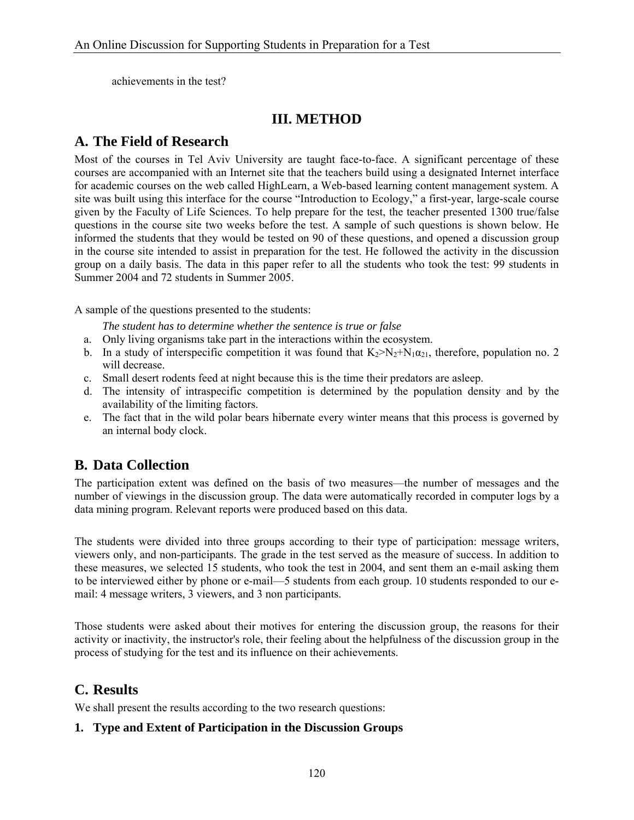achievements in the test?

# **III. METHOD**

# **A. The Field of Research**

Most of the courses in Tel Aviv University are taught face-to-face. A significant percentage of these courses are accompanied with an Internet site that the teachers build using a designated Internet interface for academic courses on the web called HighLearn, a Web-based learning content management system. A site was built using this interface for the course "Introduction to Ecology," a first-year, large-scale course given by the Faculty of Life Sciences. To help prepare for the test, the teacher presented 1300 true/false questions in the course site two weeks before the test. A sample of such questions is shown below. He informed the students that they would be tested on 90 of these questions, and opened a discussion group in the course site intended to assist in preparation for the test. He followed the activity in the discussion group on a daily basis. The data in this paper refer to all the students who took the test: 99 students in Summer 2004 and 72 students in Summer 2005.

A sample of the questions presented to the students:

*The student has to determine whether the sentence is true or false* 

- a. Only living organisms take part in the interactions within the ecosystem.
- b. In a study of interspecific competition it was found that  $K_2 > N_2 + N_1 \alpha_{21}$ , therefore, population no. 2 will decrease.
- c. Small desert rodents feed at night because this is the time their predators are asleep.
- d. The intensity of intraspecific competition is determined by the population density and by the availability of the limiting factors.
- e. The fact that in the wild polar bears hibernate every winter means that this process is governed by an internal body clock.

## **B. Data Collection**

The participation extent was defined on the basis of two measures—the number of messages and the number of viewings in the discussion group. The data were automatically recorded in computer logs by a data mining program. Relevant reports were produced based on this data.

The students were divided into three groups according to their type of participation: message writers, viewers only, and non-participants. The grade in the test served as the measure of success. In addition to these measures, we selected 15 students, who took the test in 2004, and sent them an e-mail asking them to be interviewed either by phone or e-mail—5 students from each group. 10 students responded to our email: 4 message writers, 3 viewers, and 3 non participants.

Those students were asked about their motives for entering the discussion group, the reasons for their activity or inactivity, the instructor's role, their feeling about the helpfulness of the discussion group in the process of studying for the test and its influence on their achievements.

## **C. Results**

We shall present the results according to the two research questions:

#### **1. Type and Extent of Participation in the Discussion Groups**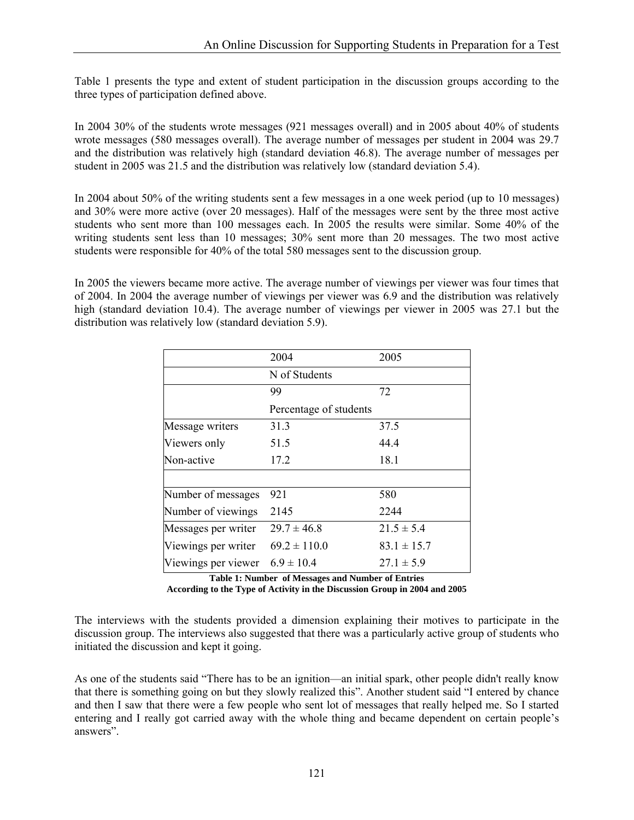Table 1 presents the type and extent of student participation in the discussion groups according to the three types of participation defined above.

In 2004 30% of the students wrote messages (921 messages overall) and in 2005 about 40% of students wrote messages (580 messages overall). The average number of messages per student in 2004 was 29.7 and the distribution was relatively high (standard deviation 46.8). The average number of messages per student in 2005 was 21.5 and the distribution was relatively low (standard deviation 5.4).

In 2004 about 50% of the writing students sent a few messages in a one week period (up to 10 messages) and 30% were more active (over 20 messages). Half of the messages were sent by the three most active students who sent more than 100 messages each. In 2005 the results were similar. Some 40% of the writing students sent less than 10 messages; 30% sent more than 20 messages. The two most active students were responsible for 40% of the total 580 messages sent to the discussion group.

In 2005 the viewers became more active. The average number of viewings per viewer was four times that of 2004. In 2004 the average number of viewings per viewer was 6.9 and the distribution was relatively high (standard deviation 10.4). The average number of viewings per viewer in 2005 was 27.1 but the distribution was relatively low (standard deviation 5.9).

|                                    | 2004                   | 2005            |  |  |  |
|------------------------------------|------------------------|-----------------|--|--|--|
|                                    | N of Students          |                 |  |  |  |
|                                    | 99                     | 72              |  |  |  |
|                                    | Percentage of students |                 |  |  |  |
| Message writers                    | 31.3                   | 37.5            |  |  |  |
| Viewers only                       | 51.5                   | 44.4            |  |  |  |
| Non-active                         | 17.2                   | 18.1            |  |  |  |
|                                    |                        |                 |  |  |  |
| Number of messages                 | 921                    | 580             |  |  |  |
| Number of viewings                 | 2145                   | 2244            |  |  |  |
| Messages per writer                | $29.7 \pm 46.8$        | $21.5 \pm 5.4$  |  |  |  |
| Viewings per writer                | $69.2 \pm 110.0$       | $83.1 \pm 15.7$ |  |  |  |
| Viewings per viewer $6.9 \pm 10.4$ |                        | $27.1 \pm 5.9$  |  |  |  |

**Table 1: Number of Messages and Number of Entries** 

**According to the Type of Activity in the Discussion Group in 2004 and 2005** 

The interviews with the students provided a dimension explaining their motives to participate in the discussion group. The interviews also suggested that there was a particularly active group of students who initiated the discussion and kept it going.

As one of the students said "There has to be an ignition—an initial spark, other people didn't really know that there is something going on but they slowly realized this". Another student said "I entered by chance and then I saw that there were a few people who sent lot of messages that really helped me. So I started entering and I really got carried away with the whole thing and became dependent on certain people's answers".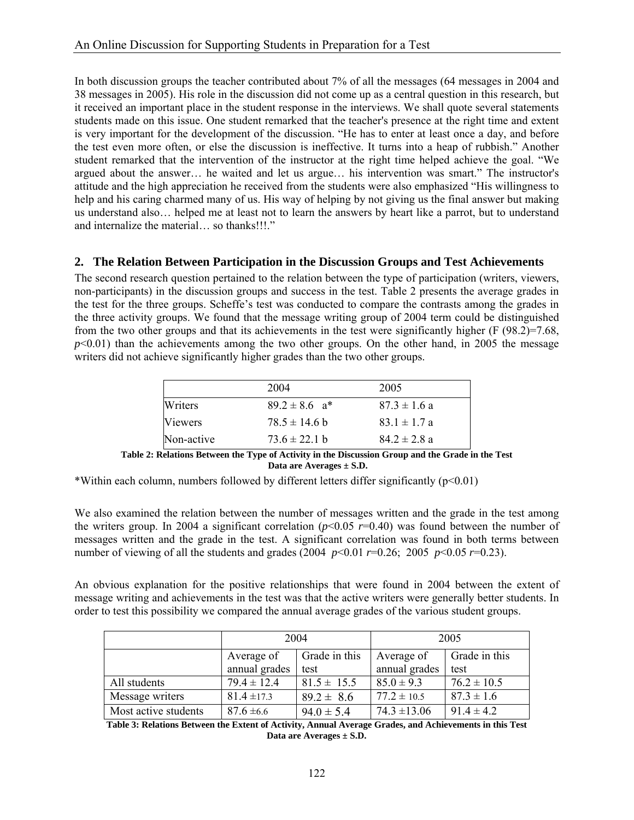In both discussion groups the teacher contributed about 7% of all the messages (64 messages in 2004 and 38 messages in 2005). His role in the discussion did not come up as a central question in this research, but it received an important place in the student response in the interviews. We shall quote several statements students made on this issue. One student remarked that the teacher's presence at the right time and extent is very important for the development of the discussion. "He has to enter at least once a day, and before the test even more often, or else the discussion is ineffective. It turns into a heap of rubbish." Another student remarked that the intervention of the instructor at the right time helped achieve the goal. "We argued about the answer… he waited and let us argue… his intervention was smart." The instructor's attitude and the high appreciation he received from the students were also emphasized "His willingness to help and his caring charmed many of us. His way of helping by not giving us the final answer but making us understand also… helped me at least not to learn the answers by heart like a parrot, but to understand and internalize the material… so thanks!!!."

#### **2. The Relation Between Participation in the Discussion Groups and Test Achievements**

The second research question pertained to the relation between the type of participation (writers, viewers, non-participants) in the discussion groups and success in the test. Table 2 presents the average grades in the test for the three groups. Scheffe's test was conducted to compare the contrasts among the grades in the three activity groups. We found that the message writing group of 2004 term could be distinguished from the two other groups and that its achievements in the test were significantly higher (F (98.2)=7.68,  $p<0.01$ ) than the achievements among the two other groups. On the other hand, in 2005 the message writers did not achieve significantly higher grades than the two other groups.

|            | 2004                          | 2005             |
|------------|-------------------------------|------------------|
| Writers    | $89.2 \pm 8.6$ a <sup>*</sup> | $87.3 \pm 1.6$ a |
| Viewers    | $78.5 \pm 14.6$ b             | $83.1 \pm 1.7 a$ |
| Non-active | $73.6 \pm 22.1$ b             | $842 \pm 28a$    |

**Table 2: Relations Between the Type of Activity in the Discussion Group and the Grade in the Test Data are Averages ± S.D.** 

\*Within each column, numbers followed by different letters differ significantly ( $p<0.01$ )

We also examined the relation between the number of messages written and the grade in the test among the writers group. In 2004 a significant correlation ( $p$ <0.05  $r$ =0.40) was found between the number of messages written and the grade in the test. A significant correlation was found in both terms between number of viewing of all the students and grades (2004  $p<0.01$  *r*=0.26; 2005  $p<0.05$  *r*=0.23).

An obvious explanation for the positive relationships that were found in 2004 between the extent of message writing and achievements in the test was that the active writers were generally better students. In order to test this possibility we compared the annual average grades of the various student groups.

|                      | 2004            |                 | 2005             |                 |
|----------------------|-----------------|-----------------|------------------|-----------------|
|                      | Average of      | Grade in this   | Average of       | Grade in this   |
|                      | annual grades   | test            | annual grades    | test            |
| All students         | $79.4 \pm 12.4$ | $81.5 \pm 15.5$ | $85.0 \pm 9.3$   | $76.2 \pm 10.5$ |
| Message writers      | $81.4 \pm 17.3$ | $89.2 \pm 8.6$  | $77.2 \pm 10.5$  | $87.3 \pm 1.6$  |
| Most active students | $87.6 \pm 6.6$  | $94.0 \pm 5.4$  | $74.3 \pm 13.06$ | $91.4 \pm 4.2$  |

**Table 3: Relations Between the Extent of Activity, Annual Average Grades, and Achievements in this Test Data are Averages ± S.D.**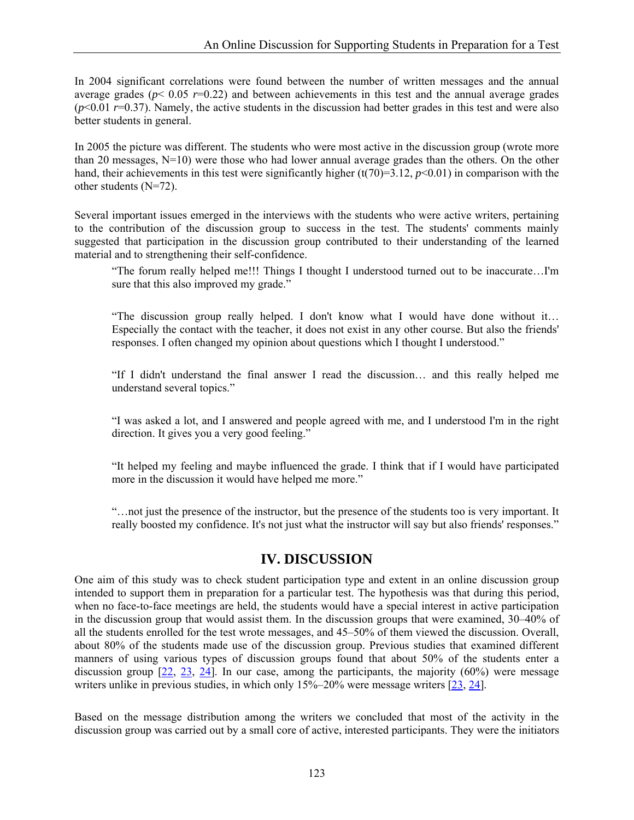In 2004 significant correlations were found between the number of written messages and the annual average grades ( $p$ < 0.05  $r=0.22$ ) and between achievements in this test and the annual average grades  $(p<0.01 r=0.37)$ . Namely, the active students in the discussion had better grades in this test and were also better students in general.

In 2005 the picture was different. The students who were most active in the discussion group (wrote more than 20 messages, N=10) were those who had lower annual average grades than the others. On the other hand, their achievements in this test were significantly higher (t(70)=3.12, *p*<0.01) in comparison with the other students (N=72).

Several important issues emerged in the interviews with the students who were active writers, pertaining to the contribution of the discussion group to success in the test. The students' comments mainly suggested that participation in the discussion group contributed to their understanding of the learned material and to strengthening their self-confidence.

"The forum really helped me!!! Things I thought I understood turned out to be inaccurate…I'm sure that this also improved my grade."

"The discussion group really helped. I don't know what I would have done without it… Especially the contact with the teacher, it does not exist in any other course. But also the friends' responses. I often changed my opinion about questions which I thought I understood."

"If I didn't understand the final answer I read the discussion… and this really helped me understand several topics."

"I was asked a lot, and I answered and people agreed with me, and I understood I'm in the right direction. It gives you a very good feeling."

"It helped my feeling and maybe influenced the grade. I think that if I would have participated more in the discussion it would have helped me more."

"…not just the presence of the instructor, but the presence of the students too is very important. It really boosted my confidence. It's not just what the instructor will say but also friends' responses."

#### **IV. DISCUSSION**

One aim of this study was to check student participation type and extent in an online discussion group intended to support them in preparation for a particular test. The hypothesis was that during this period, when no face-to-face meetings are held, the students would have a special interest in active participation in the discussion group that would assist them. In the discussion groups that were examined, 30–40% of all the students enrolled for the test wrote messages, and 45–50% of them viewed the discussion. Overall, about 80% of the students made use of the discussion group. Previous studies that examined different manners of using various types of discussion groups found that about 50% of the students enter a discussion group [22, 23, 24]. In our case, among the participants, the majority (60%) were message writers unlike in previous studies, in which only 15%–20% were message writers [23, 24].

Based on the message distribution among the writers we concluded that most of the activity in the discussion group was carried out by a small core of active, interested participants. They were the initiators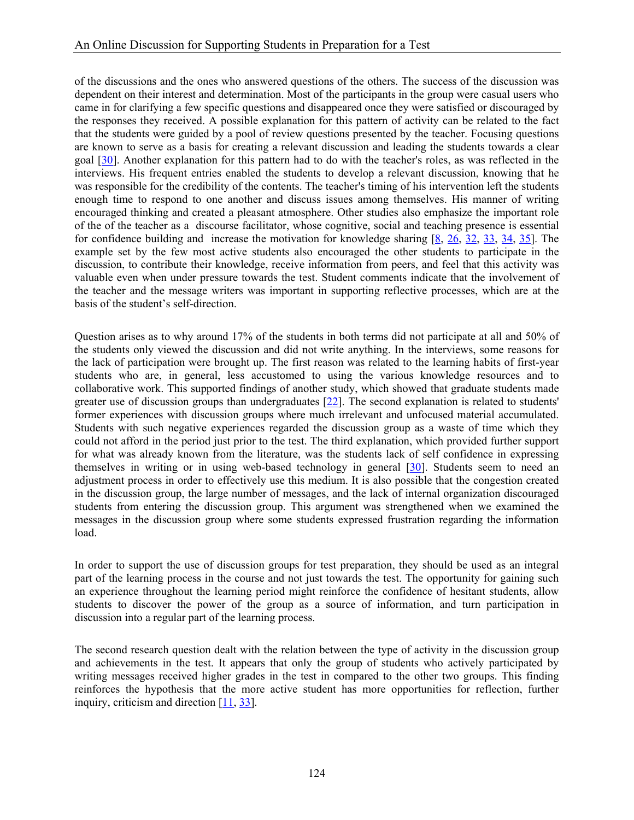of the discussions and the ones who answered questions of the others. The success of the discussion was dependent on their interest and determination. Most of the participants in the group were casual users who came in for clarifying a few specific questions and disappeared once they were satisfied or discouraged by the responses they received. A possible explanation for this pattern of activity can be related to the fact that the students were guided by a pool of review questions presented by the teacher. Focusing questions are known to serve as a basis for creating a relevant discussion and leading the students towards a clear goal [30]. Another explanation for this pattern had to do with the teacher's roles, as was reflected in the interviews. His frequent entries enabled the students to develop a relevant discussion, knowing that he was responsible for the credibility of the contents. The teacher's timing of his intervention left the students enough time to respond to one another and discuss issues among themselves. His manner of writing encouraged thinking and created a pleasant atmosphere. Other studies also emphasize the important role of the of the teacher as a discourse facilitator, whose cognitive, social and teaching presence is essential for confidence building and increase the motivation for knowledge sharing [8, 26, 32, 33, 34, 35]. The example set by the few most active students also encouraged the other students to participate in the discussion, to contribute their knowledge, receive information from peers, and feel that this activity was valuable even when under pressure towards the test. Student comments indicate that the involvement of the teacher and the message writers was important in supporting reflective processes, which are at the basis of the student's self-direction.

Question arises as to why around 17% of the students in both terms did not participate at all and 50% of the students only viewed the discussion and did not write anything. In the interviews, some reasons for the lack of participation were brought up. The first reason was related to the learning habits of first-year students who are, in general, less accustomed to using the various knowledge resources and to collaborative work. This supported findings of another study, which showed that graduate students made greater use of discussion groups than undergraduates [22]. The second explanation is related to students' former experiences with discussion groups where much irrelevant and unfocused material accumulated. Students with such negative experiences regarded the discussion group as a waste of time which they could not afford in the period just prior to the test. The third explanation, which provided further support for what was already known from the literature, was the students lack of self confidence in expressing themselves in writing or in using web-based technology in general [30]. Students seem to need an adjustment process in order to effectively use this medium. It is also possible that the congestion created in the discussion group, the large number of messages, and the lack of internal organization discouraged students from entering the discussion group. This argument was strengthened when we examined the messages in the discussion group where some students expressed frustration regarding the information load.

In order to support the use of discussion groups for test preparation, they should be used as an integral part of the learning process in the course and not just towards the test. The opportunity for gaining such an experience throughout the learning period might reinforce the confidence of hesitant students, allow students to discover the power of the group as a source of information, and turn participation in discussion into a regular part of the learning process.

The second research question dealt with the relation between the type of activity in the discussion group and achievements in the test. It appears that only the group of students who actively participated by writing messages received higher grades in the test in compared to the other two groups. This finding reinforces the hypothesis that the more active student has more opportunities for reflection, further inquiry, criticism and direction [11, 33].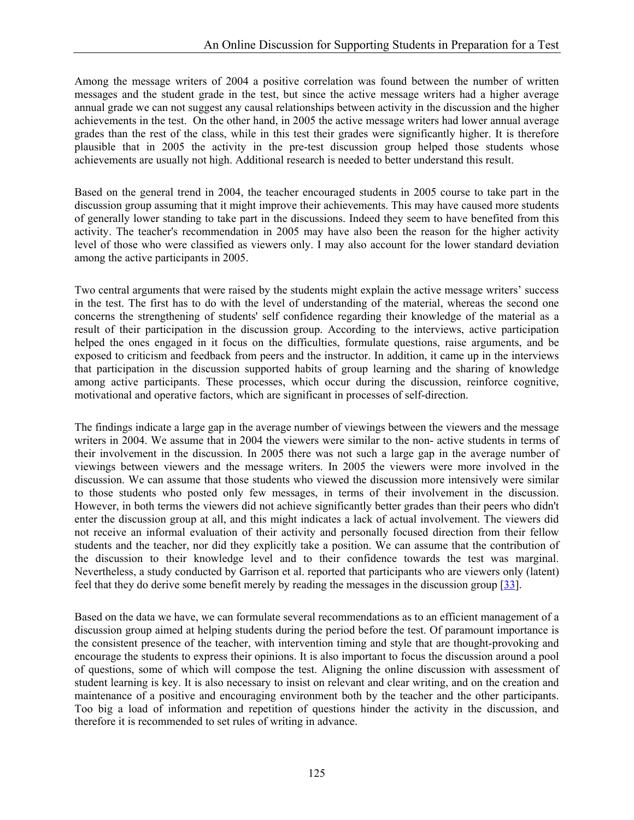Among the message writers of 2004 a positive correlation was found between the number of written messages and the student grade in the test, but since the active message writers had a higher average annual grade we can not suggest any causal relationships between activity in the discussion and the higher achievements in the test. On the other hand, in 2005 the active message writers had lower annual average grades than the rest of the class, while in this test their grades were significantly higher. It is therefore plausible that in 2005 the activity in the pre-test discussion group helped those students whose achievements are usually not high. Additional research is needed to better understand this result.

Based on the general trend in 2004, the teacher encouraged students in 2005 course to take part in the discussion group assuming that it might improve their achievements. This may have caused more students of generally lower standing to take part in the discussions. Indeed they seem to have benefited from this activity. The teacher's recommendation in 2005 may have also been the reason for the higher activity level of those who were classified as viewers only. I may also account for the lower standard deviation among the active participants in 2005.

Two central arguments that were raised by the students might explain the active message writers' success in the test. The first has to do with the level of understanding of the material, whereas the second one concerns the strengthening of students' self confidence regarding their knowledge of the material as a result of their participation in the discussion group. According to the interviews, active participation helped the ones engaged in it focus on the difficulties, formulate questions, raise arguments, and be exposed to criticism and feedback from peers and the instructor. In addition, it came up in the interviews that participation in the discussion supported habits of group learning and the sharing of knowledge among active participants. These processes, which occur during the discussion, reinforce cognitive, motivational and operative factors, which are significant in processes of self-direction.

The findings indicate a large gap in the average number of viewings between the viewers and the message writers in 2004. We assume that in 2004 the viewers were similar to the non- active students in terms of their involvement in the discussion. In 2005 there was not such a large gap in the average number of viewings between viewers and the message writers. In 2005 the viewers were more involved in the discussion. We can assume that those students who viewed the discussion more intensively were similar to those students who posted only few messages, in terms of their involvement in the discussion. However, in both terms the viewers did not achieve significantly better grades than their peers who didn't enter the discussion group at all, and this might indicates a lack of actual involvement. The viewers did not receive an informal evaluation of their activity and personally focused direction from their fellow students and the teacher, nor did they explicitly take a position. We can assume that the contribution of the discussion to their knowledge level and to their confidence towards the test was marginal. Nevertheless, a study conducted by Garrison et al. reported that participants who are viewers only (latent) feel that they do derive some benefit merely by reading the messages in the discussion group [33].

Based on the data we have, we can formulate several recommendations as to an efficient management of a discussion group aimed at helping students during the period before the test. Of paramount importance is the consistent presence of the teacher, with intervention timing and style that are thought-provoking and encourage the students to express their opinions. It is also important to focus the discussion around a pool of questions, some of which will compose the test. Aligning the online discussion with assessment of student learning is key. It is also necessary to insist on relevant and clear writing, and on the creation and maintenance of a positive and encouraging environment both by the teacher and the other participants. Too big a load of information and repetition of questions hinder the activity in the discussion, and therefore it is recommended to set rules of writing in advance.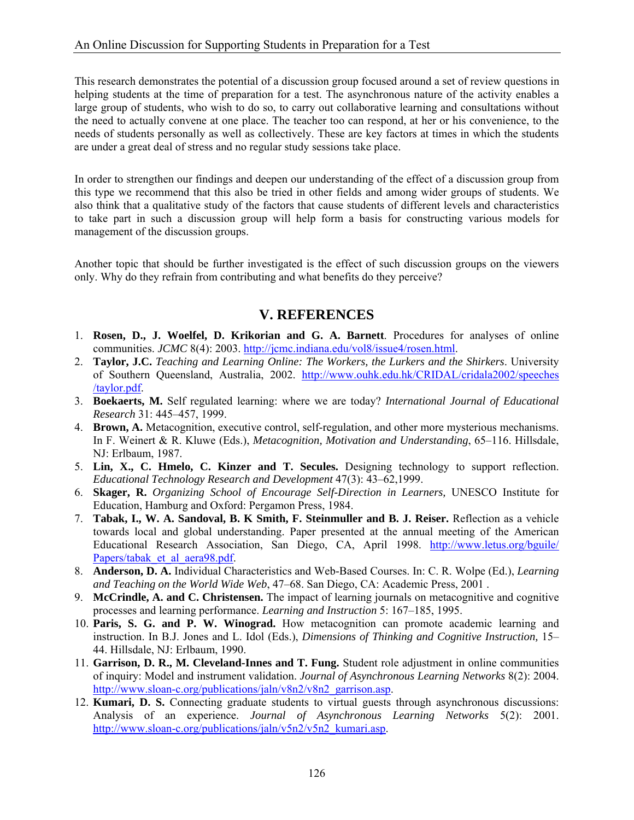This research demonstrates the potential of a discussion group focused around a set of review questions in helping students at the time of preparation for a test. The asynchronous nature of the activity enables a large group of students, who wish to do so, to carry out collaborative learning and consultations without the need to actually convene at one place. The teacher too can respond, at her or his convenience, to the needs of students personally as well as collectively. These are key factors at times in which the students are under a great deal of stress and no regular study sessions take place.

In order to strengthen our findings and deepen our understanding of the effect of a discussion group from this type we recommend that this also be tried in other fields and among wider groups of students. We also think that a qualitative study of the factors that cause students of different levels and characteristics to take part in such a discussion group will help form a basis for constructing various models for management of the discussion groups.

Another topic that should be further investigated is the effect of such discussion groups on the viewers only. Why do they refrain from contributing and what benefits do they perceive?

## **V. REFERENCES**

- 1. **Rosen, D., J. Woelfel, D. Krikorian and G. A. Barnett**. Procedures for analyses of online communities. *JCMC* 8(4): 2003. [http://jcmc.indiana.edu/vol8/issue4/rosen.html.](http://jcmc.indiana.edu/vol8/issue4/rosen.html)
- 2. **Taylor, J.C.** *Teaching and Learning Online: The Workers, the Lurkers and the Shirkers*. University of Southern Queensland, Australia, 2002. <http://www.ouhk.edu.hk/CRIDAL/cridala2002/speeches> /taylor.pdf.
- 3. **Boekaerts, M.** Self regulated learning: where we are today? *International Journal of Educational Research* 31: 445–457, 1999.
- 4. **Brown, A.** Metacognition, executive control, self-regulation, and other more mysterious mechanisms. In F. Weinert & R. Kluwe (Eds.), *Metacognition, Motivation and Understanding*, 65–116. Hillsdale, NJ: Erlbaum, 1987.
- 5. **Lin, X., C. Hmelo, C. Kinzer and T. Secules.** Designing technology to support reflection. *Educational Technology Research and Development* 47(3): 43–62,1999.
- 6. **Skager, R.** *Organizing School of Encourage Self-Direction in Learners,* UNESCO Institute for Education, Hamburg and Oxford: Pergamon Press, 1984.
- 7. **Tabak, I., W. A. Sandoval, B. K Smith, F. Steinmuller and B. J. Reiser.** Reflection as a vehicle towards local and global understanding. Paper presented at the annual meeting of the American Educational Research Association, San Diego, CA, April 1998. [http://www.letus.org/bguile/](http://www.letus.org/bguile) Papers/tabak\_et\_al\_aera98.pdf.
- 8. **Anderson, D. A.** Individual Characteristics and Web-Based Courses. In: C. R. Wolpe (Ed.), *Learning and Teaching on the World Wide Web*, 47–68. San Diego, CA: Academic Press, 2001 .
- 9. **McCrindle, A. and C. Christensen.** The impact of learning journals on metacognitive and cognitive processes and learning performance. *Learning and Instruction* 5: 167–185, 1995.
- 10. **Paris, S. G. and P. W. Winograd.** How metacognition can promote academic learning and instruction. In B.J. Jones and L. Idol (Eds.), *Dimensions of Thinking and Cognitive Instruction,* 15– 44. Hillsdale, NJ: Erlbaum, 1990.
- 11. **Garrison, D. R., M. Cleveland-Innes and T. Fung.** Student role adjustment in online communities of inquiry: Model and instrument validation. *Journal of Asynchronous Learning Networks* 8(2): 2004. [http://www.sloan-c.org/publications/jaln/v8n2/v8n2\\_garrison.asp.](http://www.sloan-c.org/publications/jaln/v8n2/v8n2_garrison.asp)
- 12. **Kumari, D. S.** Connecting graduate students to virtual guests through asynchronous discussions: Analysis of an experience. *Journal of Asynchronous Learning Networks* 5(2): 2001. http://www.sloan-c.org/publications/jaln/v5n2/v5n2 kumari.asp.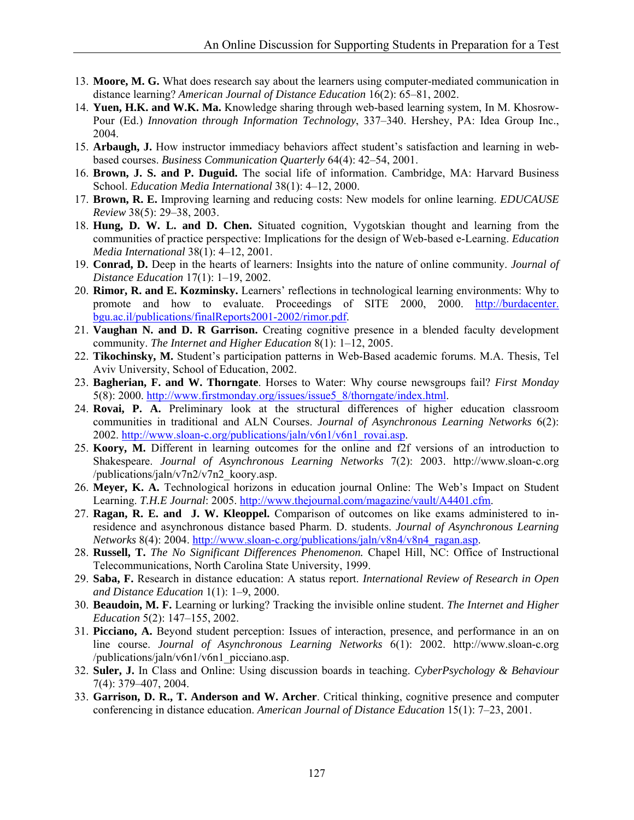- 13. **Moore, M. G.** What does research say about the learners using computer-mediated communication in distance learning? *American Journal of Distance Education* 16(2): 65–81, 2002.
- 14. **Yuen, H.K. and W.K. Ma.** Knowledge sharing through web-based learning system, In M. Khosrow-Pour (Ed.) *Innovation through Information Technology*, 337–340. Hershey, PA: Idea Group Inc., 2004.
- 15. **Arbaugh, J.** How instructor immediacy behaviors affect student's satisfaction and learning in webbased courses. *Business Communication Quarterly* 64(4): 42–54, 2001.
- 16. **Brown, J. S. and P. Duguid.** The social life of information. Cambridge, MA: Harvard Business School. *Education Media International* 38(1): 4–12, 2000.
- 17. **Brown, R. E.** Improving learning and reducing costs: New models for online learning. *EDUCAUSE Review* 38(5): 29–38, 2003.
- 18. **Hung, D. W. L. and D. Chen.** Situated cognition, Vygotskian thought and learning from the communities of practice perspective: Implications for the design of Web-based e-Learning. *Education Media International* 38(1): 4–12, 2001.
- 19. **Conrad, D.** Deep in the hearts of learners: Insights into the nature of online community. *Journal of Distance Education* 17(1): 1–19, 2002.
- 20. **Rimor, R. and E. Kozminsky.** Learners' reflections in technological learning environments: Why to promote and how to evaluate. Proceedings of SITE 2000, 2000. [http://burdacenter.](http://burdacenter) bgu.ac.il/publications/finalReports2001-2002/rimor.pdf.
- 21. **Vaughan N. and D. R Garrison.** Creating cognitive presence in a blended faculty development community. *The Internet and Higher Education* 8(1): 1–12, 2005.
- 22. **Tikochinsky, M.** Student's participation patterns in Web-Based academic forums. M.A. Thesis, Tel Aviv University, School of Education, 2002.
- 23. **Bagherian, F. and W. Thorngate**. Horses to Water: Why course newsgroups fail? *First Monday* 5(8): 2000. [http://www.firstmonday.org/issues/issue5\\_8/thorngate/index.html.](http://www.firstmonday.org/issues/issue5_8/thorngate/index.html)
- 24. **Rovai, P. A.** Preliminary look at the structural differences of higher education classroom communities in traditional and ALN Courses. *Journal of Asynchronous Learning Networks* 6(2): 2002. [http://www.sloan-c.org/publications/jaln/v6n1/v6n1\\_rovai.asp.](http://www.sloan-c.org/publications/jaln/v6n1/v6n1_rovai.asp)
- 25. **Koory, M.** Different in learning outcomes for the online and f2f versions of an introduction to Shakespeare. *Journal of Asynchronous Learning Networks* 7(2): 2003. <http://www.sloan-c.org> /publications/jaln/v7n2/v7n2\_koory.asp.
- 26. **Meyer, K. A.** Technological horizons in education journal Online: The Web's Impact on Student Learning. *T.H.E Journal*: 2005. [http://www.thejournal.com/magazine/vault/A4401.cfm.](http://www.thejournal.com/magazine/vault/A4401.cfm)
- 27. **Ragan, R. E. and J. W. Kleoppel.** Comparison of outcomes on like exams administered to inresidence and asynchronous distance based Pharm. D. students. *Journal of Asynchronous Learning Networks* 8(4): 2004. http://www.sloan-c.org/publications/jaln/v8n4/v8n4\_ragan.asp.
- 28. **Russell, T.** *The No Significant Differences Phenomenon.* Chapel Hill, NC: Office of Instructional Telecommunications, North Carolina State University, 1999.
- 29. **Saba, F.** Research in distance education: A status report. *International Review of Research in Open and Distance Education* 1(1): 1–9, 2000.
- 30. **Beaudoin, M. F.** Learning or lurking? Tracking the invisible online student. *The Internet and Higher Education* 5(2): 147–155, 2002.
- 31. **Picciano, A.** Beyond student perception: Issues of interaction, presence, and performance in an on line course. *Journal of Asynchronous Learning Networks* 6(1): 2002. <http://www.sloan-c.org> /publications/jaln/v6n1/v6n1\_picciano.asp.
- 32. **Suler, J.** In Class and Online: Using discussion boards in teaching. *CyberPsychology & Behaviour* 7(4): 379–407, 2004.
- 33. **Garrison, D. R., T. Anderson and W. Archer**. Critical thinking, cognitive presence and computer conferencing in distance education. *American Journal of Distance Education* 15(1): 7–23, 2001.